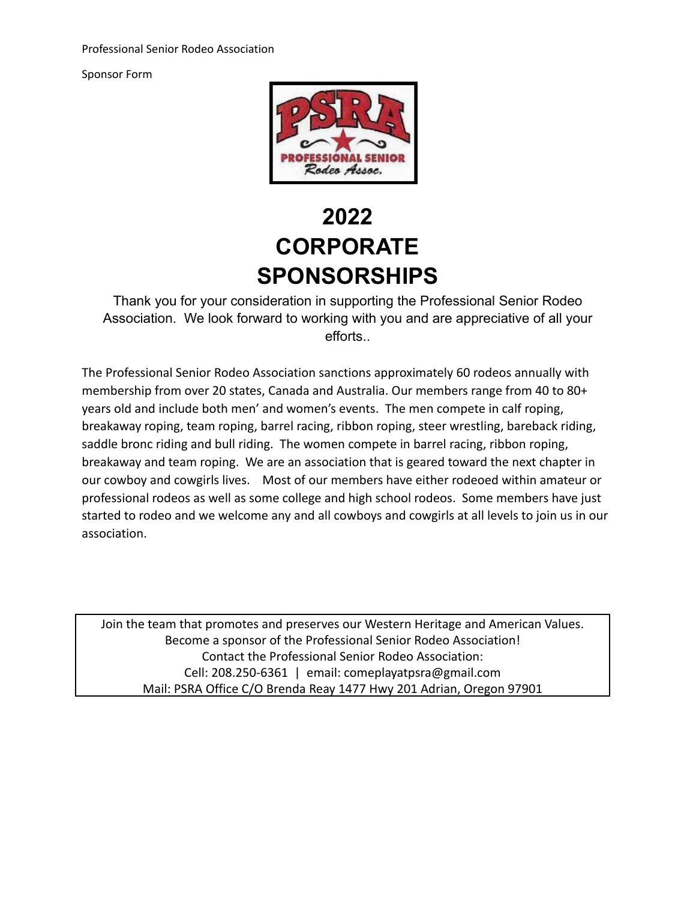Sponsor Form



# **2022 CORPORATE SPONSORSHIPS**

Thank you for your consideration in supporting the Professional Senior Rodeo Association. We look forward to working with you and are appreciative of all your efforts..

The Professional Senior Rodeo Association sanctions approximately 60 rodeos annually with membership from over 20 states, Canada and Australia. Our members range from 40 to 80+ years old and include both men' and women's events. The men compete in calf roping, breakaway roping, team roping, barrel racing, ribbon roping, steer wrestling, bareback riding, saddle bronc riding and bull riding. The women compete in barrel racing, ribbon roping, breakaway and team roping. We are an association that is geared toward the next chapter in our cowboy and cowgirls lives. Most of our members have either rodeoed within amateur or professional rodeos as well as some college and high school rodeos. Some members have just started to rodeo and we welcome any and all cowboys and cowgirls at all levels to join us in our association.

Join the team that promotes and preserves our Western Heritage and American Values. Become a sponsor of the Professional Senior Rodeo Association! Contact the Professional Senior Rodeo Association: Cell: 208.250-6361 | email: comeplayatpsra@gmail.com Mail: PSRA Office C/O Brenda Reay 1477 Hwy 201 Adrian, Oregon 97901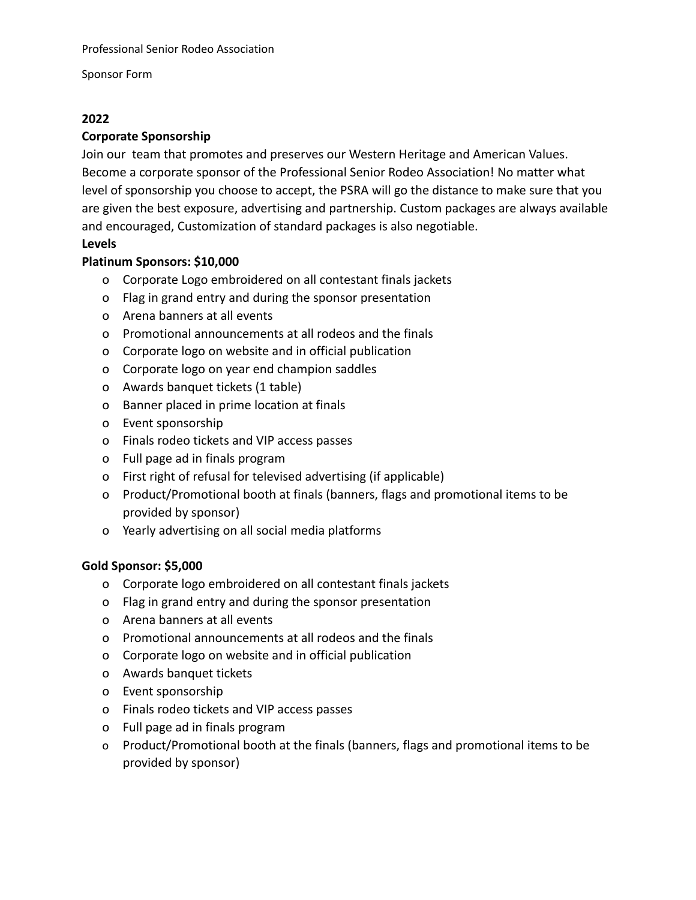Sponsor Form

# **2022**

# **Corporate Sponsorship**

Join our team that promotes and preserves our Western Heritage and American Values. Become a corporate sponsor of the Professional Senior Rodeo Association! No matter what level of sponsorship you choose to accept, the PSRA will go the distance to make sure that you are given the best exposure, advertising and partnership. Custom packages are always available and encouraged, Customization of standard packages is also negotiable.

# **Levels**

# **Platinum Sponsors: \$10,000**

- o Corporate Logo embroidered on all contestant finals jackets
- o Flag in grand entry and during the sponsor presentation
- o Arena banners at all events
- o Promotional announcements at all rodeos and the finals
- o Corporate logo on website and in official publication
- o Corporate logo on year end champion saddles
- o Awards banquet tickets (1 table)
- o Banner placed in prime location at finals
- o Event sponsorship
- o Finals rodeo tickets and VIP access passes
- o Full page ad in finals program
- o First right of refusal for televised advertising (if applicable)
- o Product/Promotional booth at finals (banners, flags and promotional items to be provided by sponsor)
- o Yearly advertising on all social media platforms

# **Gold Sponsor: \$5,000**

- o Corporate logo embroidered on all contestant finals jackets
- o Flag in grand entry and during the sponsor presentation
- o Arena banners at all events
- o Promotional announcements at all rodeos and the finals
- o Corporate logo on website and in official publication
- o Awards banquet tickets
- o Event sponsorship
- o Finals rodeo tickets and VIP access passes
- o Full page ad in finals program
- o Product/Promotional booth at the finals (banners, flags and promotional items to be provided by sponsor)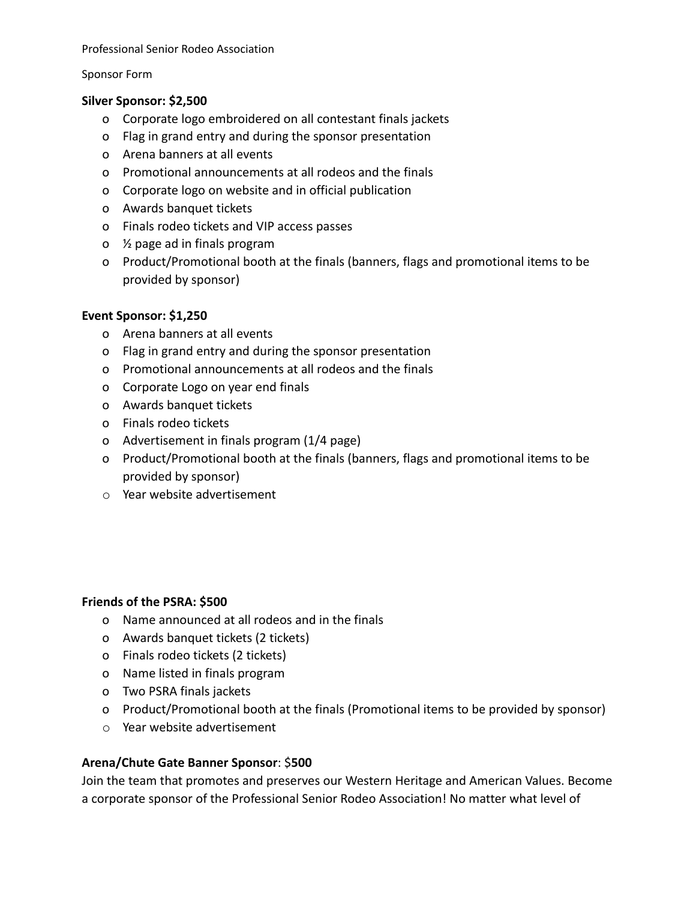Professional Senior Rodeo Association

#### Sponsor Form

## **Silver Sponsor: \$2,500**

- o Corporate logo embroidered on all contestant finals jackets
- o Flag in grand entry and during the sponsor presentation
- o Arena banners at all events
- o Promotional announcements at all rodeos and the finals
- o Corporate logo on website and in official publication
- o Awards banquet tickets
- o Finals rodeo tickets and VIP access passes
- o ½ page ad in finals program
- o Product/Promotional booth at the finals (banners, flags and promotional items to be provided by sponsor)

## **Event Sponsor: \$1,250**

- o Arena banners at all events
- o Flag in grand entry and during the sponsor presentation
- o Promotional announcements at all rodeos and the finals
- o Corporate Logo on year end finals
- o Awards banquet tickets
- o Finals rodeo tickets
- o Advertisement in finals program (1/4 page)
- o Product/Promotional booth at the finals (banners, flags and promotional items to be provided by sponsor)
- o Year website advertisement

## **Friends of the PSRA: \$500**

- o Name announced at all rodeos and in the finals
- o Awards banquet tickets (2 tickets)
- o Finals rodeo tickets (2 tickets)
- o Name listed in finals program
- o Two PSRA finals jackets
- o Product/Promotional booth at the finals (Promotional items to be provided by sponsor)
- o Year website advertisement

## **Arena/Chute Gate Banner Sponsor**: \$**500**

Join the team that promotes and preserves our Western Heritage and American Values. Become a corporate sponsor of the Professional Senior Rodeo Association! No matter what level of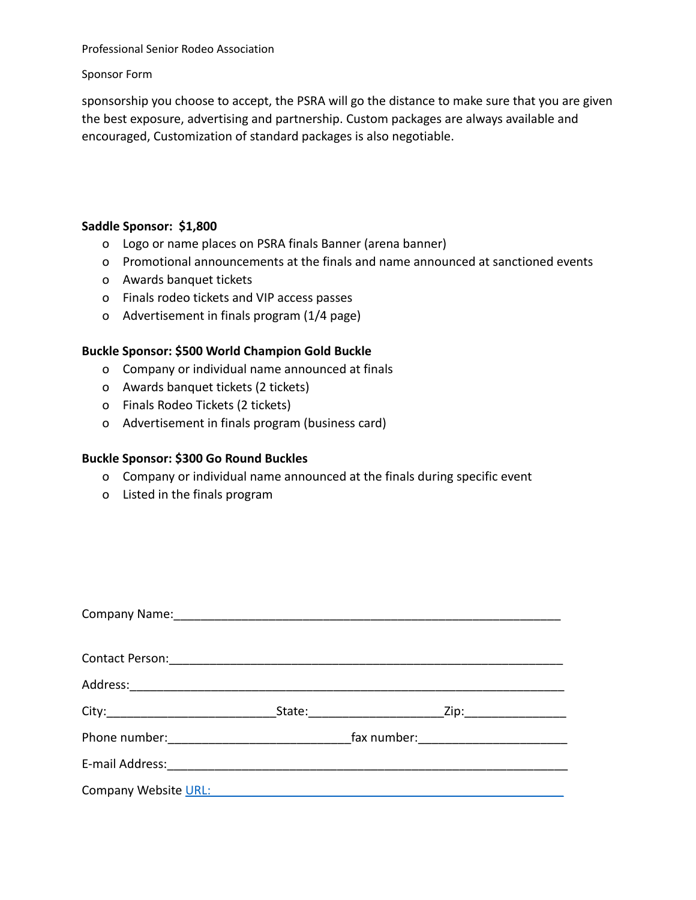Professional Senior Rodeo Association

Sponsor Form

sponsorship you choose to accept, the PSRA will go the distance to make sure that you are given the best exposure, advertising and partnership. Custom packages are always available and encouraged, Customization of standard packages is also negotiable.

#### **Saddle Sponsor: \$1,800**

- o Logo or name places on PSRA finals Banner (arena banner)
- o Promotional announcements at the finals and name announced at sanctioned events
- o Awards banquet tickets
- o Finals rodeo tickets and VIP access passes
- o Advertisement in finals program (1/4 page)

#### **Buckle Sponsor: \$500 World Champion Gold Buckle**

- o Company or individual name announced at finals
- o Awards banquet tickets (2 tickets)
- o Finals Rodeo Tickets (2 tickets)
- o Advertisement in finals program (business card)

#### **Buckle Sponsor: \$300 Go Round Buckles**

- o Company or individual name announced at the finals during specific event
- o Listed in the finals program

| Company Name: Mannell Company Name:                                                                             |                       |                                                                                                                                                                                                                                |  |
|-----------------------------------------------------------------------------------------------------------------|-----------------------|--------------------------------------------------------------------------------------------------------------------------------------------------------------------------------------------------------------------------------|--|
| Contact Person:                                                                                                 |                       |                                                                                                                                                                                                                                |  |
| Address:                                                                                                        |                       |                                                                                                                                                                                                                                |  |
|                                                                                                                 | State: ______________ | Zip: the contract of the contract of the contract of the contract of the contract of the contract of the contract of the contract of the contract of the contract of the contract of the contract of the contract of the contr |  |
| Phone number: Management of the number of the set of the set of the set of the set of the set of the set of the |                       |                                                                                                                                                                                                                                |  |
|                                                                                                                 |                       |                                                                                                                                                                                                                                |  |
| Company Website URL:                                                                                            |                       |                                                                                                                                                                                                                                |  |